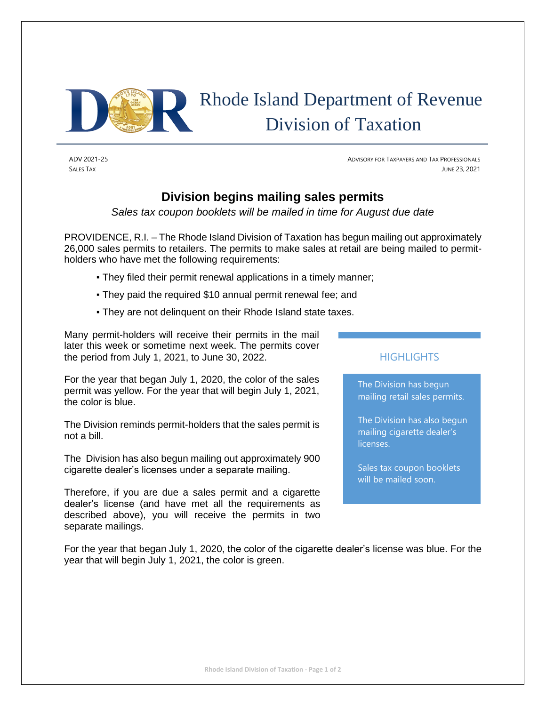

# Rhode Island Department of Revenue Division of Taxation

ADV 2021-25 ADVISORY FOR TAXPAYERS AND TAX PROFESSIONALS SALES TAX JUNE 23, 2021

## **Division begins mailing sales permits**

*Sales tax coupon booklets will be mailed in time for August due date*

PROVIDENCE, R.I. – The Rhode Island Division of Taxation has begun mailing out approximately 26,000 sales permits to retailers. The permits to make sales at retail are being mailed to permitholders who have met the following requirements:

- They filed their permit renewal applications in a timely manner;
- They paid the required \$10 annual permit renewal fee; and
- They are not delinquent on their Rhode Island state taxes.

Many permit-holders will receive their permits in the mail later this week or sometime next week. The permits cover the period from July 1, 2021, to June 30, 2022.

For the year that began July 1, 2020, the color of the sales permit was yellow. For the year that will begin July 1, 2021, the color is blue.

The Division reminds permit-holders that the sales permit is not a bill.

The Division has also begun mailing out approximately 900 cigarette dealer's licenses under a separate mailing.

Therefore, if you are due a sales permit and a cigarette dealer's license (and have met all the requirements as described above), you will receive the permits in two separate mailings.

### **HIGHLIGHTS**

The Division has begun mailing retail sales permits.

The Division has also begun mailing cigarette dealer's licenses.

Sales tax coupon booklets will be mailed soon.

For the year that began July 1, 2020, the color of the cigarette dealer's license was blue. For the year that will begin July 1, 2021, the color is green.